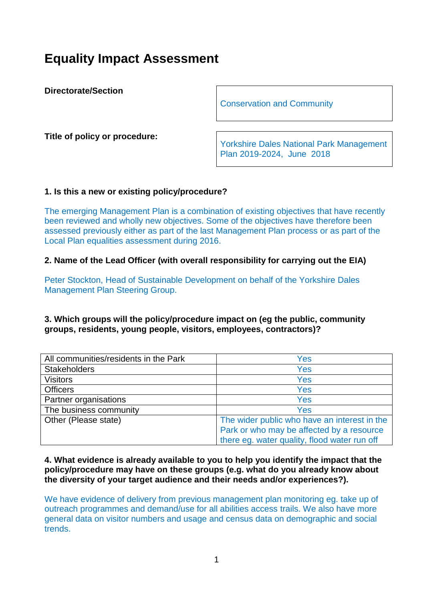# **Equality Impact Assessment**

**Directorate/Section**

Conservation and Community

**Title of policy or procedure:**

Yorkshire Dales National Park Management Plan 2019-2024, June 2018

## **1. Is this a new or existing policy/procedure?**

The emerging Management Plan is a combination of existing objectives that have recently been reviewed and wholly new objectives. Some of the objectives have therefore been assessed previously either as part of the last Management Plan process or as part of the Local Plan equalities assessment during 2016.

## **2. Name of the Lead Officer (with overall responsibility for carrying out the EIA)**

Peter Stockton, Head of Sustainable Development on behalf of the Yorkshire Dales Management Plan Steering Group.

## **3. Which groups will the policy/procedure impact on (eg the public, community groups, residents, young people, visitors, employees, contractors)?**

| All communities/residents in the Park | Yes                                          |
|---------------------------------------|----------------------------------------------|
| <b>Stakeholders</b>                   | Yes                                          |
| <b>Visitors</b>                       | Yes                                          |
| <b>Officers</b>                       | Yes                                          |
| Partner organisations                 | Yes                                          |
| The business community                | Yes                                          |
| Other (Please state)                  | The wider public who have an interest in the |
|                                       | Park or who may be affected by a resource    |
|                                       | there eg. water quality, flood water run off |

#### **4. What evidence is already available to you to help you identify the impact that the policy/procedure may have on these groups (e.g. what do you already know about the diversity of your target audience and their needs and/or experiences?).**

We have evidence of delivery from previous management plan monitoring eg. take up of outreach programmes and demand/use for all abilities access trails. We also have more general data on visitor numbers and usage and census data on demographic and social trends.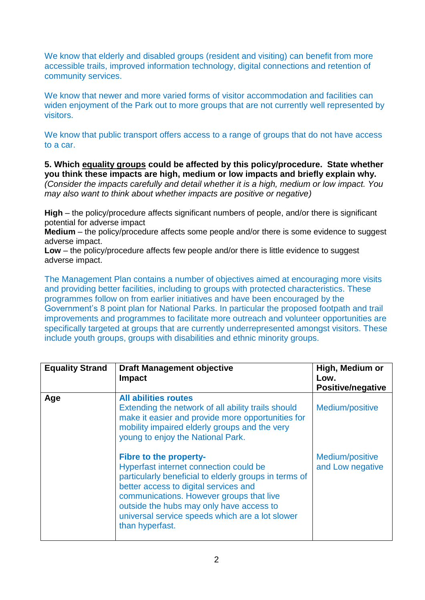We know that elderly and disabled groups (resident and visiting) can benefit from more accessible trails, improved information technology, digital connections and retention of community services.

We know that newer and more varied forms of visitor accommodation and facilities can widen enjoyment of the Park out to more groups that are not currently well represented by visitors.

We know that public transport offers access to a range of groups that do not have access to a car.

**5. Which equality groups could be affected by this policy/procedure. State whether you think these impacts are high, medium or low impacts and briefly explain why.** *(Consider the impacts carefully and detail whether it is a high, medium or low impact. You may also want to think about whether impacts are positive or negative)*

**High** – the policy/procedure affects significant numbers of people, and/or there is significant potential for adverse impact

**Medium** – the policy/procedure affects some people and/or there is some evidence to suggest adverse impact.

**Low** – the policy/procedure affects few people and/or there is little evidence to suggest adverse impact.

The Management Plan contains a number of objectives aimed at encouraging more visits and providing better facilities, including to groups with protected characteristics. These programmes follow on from earlier initiatives and have been encouraged by the Government's 8 point plan for National Parks. In particular the proposed footpath and trail improvements and programmes to facilitate more outreach and volunteer opportunities are specifically targeted at groups that are currently underrepresented amongst visitors. These include youth groups, groups with disabilities and ethnic minority groups.

| <b>Equality Strand</b> | <b>Draft Management objective</b><br>Impact                                                                                                                                                                                                                                                                                             | High, Medium or<br>Low.<br><b>Positive/negative</b> |
|------------------------|-----------------------------------------------------------------------------------------------------------------------------------------------------------------------------------------------------------------------------------------------------------------------------------------------------------------------------------------|-----------------------------------------------------|
| Age                    | <b>All abilities routes</b><br>Extending the network of all ability trails should<br>make it easier and provide more opportunities for<br>mobility impaired elderly groups and the very<br>young to enjoy the National Park.                                                                                                            | Medium/positive                                     |
|                        | <b>Fibre to the property-</b><br>Hyperfast internet connection could be<br>particularly beneficial to elderly groups in terms of<br>better access to digital services and<br>communications. However groups that live<br>outside the hubs may only have access to<br>universal service speeds which are a lot slower<br>than hyperfast. | Medium/positive<br>and Low negative                 |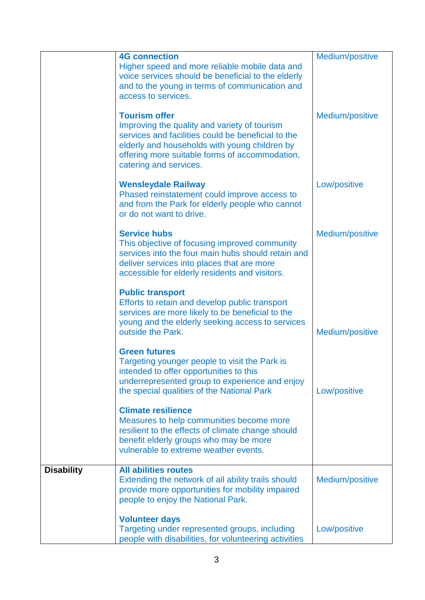|                   | <b>4G connection</b><br>Higher speed and more reliable mobile data and<br>voice services should be beneficial to the elderly<br>and to the young in terms of communication and<br>access to services.                                                   | Medium/positive |
|-------------------|---------------------------------------------------------------------------------------------------------------------------------------------------------------------------------------------------------------------------------------------------------|-----------------|
|                   | <b>Tourism offer</b><br>Improving the quality and variety of tourism<br>services and facilities could be beneficial to the<br>elderly and households with young children by<br>offering more suitable forms of accommodation,<br>catering and services. | Medium/positive |
|                   | <b>Wensleydale Railway</b><br>Phased reinstatement could improve access to<br>and from the Park for elderly people who cannot<br>or do not want to drive.                                                                                               | Low/positive    |
|                   | <b>Service hubs</b><br>This objective of focusing improved community<br>services into the four main hubs should retain and<br>deliver services into places that are more<br>accessible for elderly residents and visitors.                              | Medium/positive |
|                   | <b>Public transport</b><br>Efforts to retain and develop public transport<br>services are more likely to be beneficial to the<br>young and the elderly seeking access to services<br>outside the Park.                                                  | Medium/positive |
|                   | <b>Green futures</b><br>Targeting younger people to visit the Park is<br>intended to offer opportunities to this<br>underrepresented group to experience and enjoy<br>the special qualities of the National Park                                        | Low/positive    |
|                   | <b>Climate resilience</b><br>Measures to help communities become more<br>resilient to the effects of climate change should<br>benefit elderly groups who may be more<br>vulnerable to extreme weather events.                                           |                 |
| <b>Disability</b> | <b>All abilities routes</b><br>Extending the network of all ability trails should<br>provide more opportunities for mobility impaired<br>people to enjoy the National Park.                                                                             | Medium/positive |
|                   | <b>Volunteer days</b><br>Targeting under represented groups, including<br>people with disabilities, for volunteering activities                                                                                                                         | Low/positive    |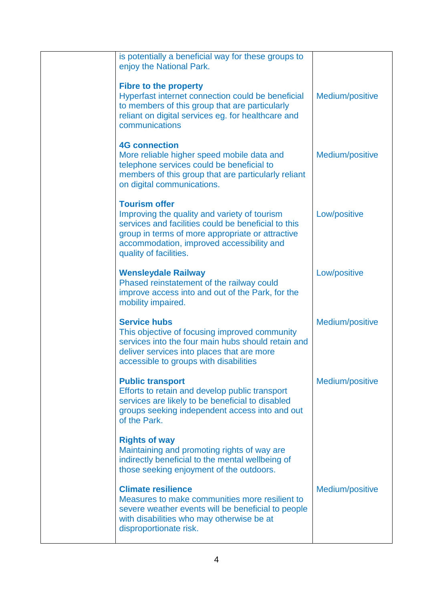| enjoy the National Park.<br><b>Fibre to the property</b><br>Hyperfast internet connection could be beneficial<br>Medium/positive<br>to members of this group that are particularly<br>reliant on digital services eg. for healthcare and<br>communications<br><b>4G connection</b><br>More reliable higher speed mobile data and<br>Medium/positive<br>telephone services could be beneficial to<br>members of this group that are particularly reliant<br>on digital communications.<br><b>Tourism offer</b><br>Low/positive<br>Improving the quality and variety of tourism<br>services and facilities could be beneficial to this<br>group in terms of more appropriate or attractive<br>accommodation, improved accessibility and<br>quality of facilities.<br>Low/positive<br><b>Wensleydale Railway</b><br>Phased reinstatement of the railway could<br>improve access into and out of the Park, for the<br>mobility impaired.<br><b>Service hubs</b><br>Medium/positive<br>This objective of focusing improved community<br>services into the four main hubs should retain and<br>deliver services into places that are more<br>accessible to groups with disabilities<br>Medium/positive<br><b>Public transport</b><br>Efforts to retain and develop public transport<br>services are likely to be beneficial to disabled<br>groups seeking independent access into and out<br>of the Park.<br><b>Rights of way</b><br>Maintaining and promoting rights of way are<br>indirectly beneficial to the mental wellbeing of<br>those seeking enjoyment of the outdoors.<br><b>Climate resilience</b><br>Medium/positive<br>Measures to make communities more resilient to<br>severe weather events will be beneficial to people<br>with disabilities who may otherwise be at<br>disproportionate risk. |                                                     |  |
|-----------------------------------------------------------------------------------------------------------------------------------------------------------------------------------------------------------------------------------------------------------------------------------------------------------------------------------------------------------------------------------------------------------------------------------------------------------------------------------------------------------------------------------------------------------------------------------------------------------------------------------------------------------------------------------------------------------------------------------------------------------------------------------------------------------------------------------------------------------------------------------------------------------------------------------------------------------------------------------------------------------------------------------------------------------------------------------------------------------------------------------------------------------------------------------------------------------------------------------------------------------------------------------------------------------------------------------------------------------------------------------------------------------------------------------------------------------------------------------------------------------------------------------------------------------------------------------------------------------------------------------------------------------------------------------------------------------------------------------------------------------------------------------------------------------|-----------------------------------------------------|--|
|                                                                                                                                                                                                                                                                                                                                                                                                                                                                                                                                                                                                                                                                                                                                                                                                                                                                                                                                                                                                                                                                                                                                                                                                                                                                                                                                                                                                                                                                                                                                                                                                                                                                                                                                                                                                           | is potentially a beneficial way for these groups to |  |
|                                                                                                                                                                                                                                                                                                                                                                                                                                                                                                                                                                                                                                                                                                                                                                                                                                                                                                                                                                                                                                                                                                                                                                                                                                                                                                                                                                                                                                                                                                                                                                                                                                                                                                                                                                                                           |                                                     |  |
|                                                                                                                                                                                                                                                                                                                                                                                                                                                                                                                                                                                                                                                                                                                                                                                                                                                                                                                                                                                                                                                                                                                                                                                                                                                                                                                                                                                                                                                                                                                                                                                                                                                                                                                                                                                                           |                                                     |  |
|                                                                                                                                                                                                                                                                                                                                                                                                                                                                                                                                                                                                                                                                                                                                                                                                                                                                                                                                                                                                                                                                                                                                                                                                                                                                                                                                                                                                                                                                                                                                                                                                                                                                                                                                                                                                           |                                                     |  |
|                                                                                                                                                                                                                                                                                                                                                                                                                                                                                                                                                                                                                                                                                                                                                                                                                                                                                                                                                                                                                                                                                                                                                                                                                                                                                                                                                                                                                                                                                                                                                                                                                                                                                                                                                                                                           |                                                     |  |
|                                                                                                                                                                                                                                                                                                                                                                                                                                                                                                                                                                                                                                                                                                                                                                                                                                                                                                                                                                                                                                                                                                                                                                                                                                                                                                                                                                                                                                                                                                                                                                                                                                                                                                                                                                                                           |                                                     |  |
|                                                                                                                                                                                                                                                                                                                                                                                                                                                                                                                                                                                                                                                                                                                                                                                                                                                                                                                                                                                                                                                                                                                                                                                                                                                                                                                                                                                                                                                                                                                                                                                                                                                                                                                                                                                                           |                                                     |  |
|                                                                                                                                                                                                                                                                                                                                                                                                                                                                                                                                                                                                                                                                                                                                                                                                                                                                                                                                                                                                                                                                                                                                                                                                                                                                                                                                                                                                                                                                                                                                                                                                                                                                                                                                                                                                           |                                                     |  |
|                                                                                                                                                                                                                                                                                                                                                                                                                                                                                                                                                                                                                                                                                                                                                                                                                                                                                                                                                                                                                                                                                                                                                                                                                                                                                                                                                                                                                                                                                                                                                                                                                                                                                                                                                                                                           |                                                     |  |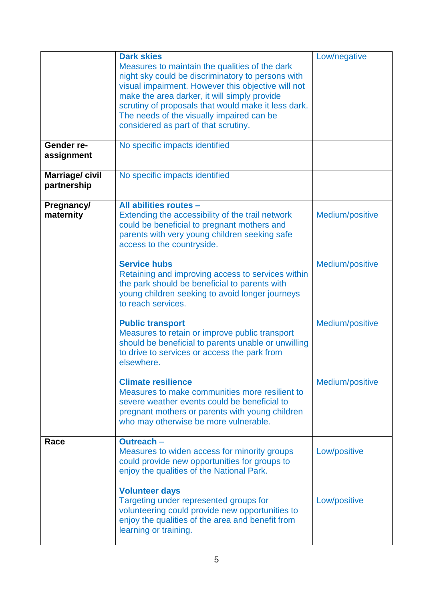|                                      | <b>Dark skies</b>                                                                                                                                                                                                                                                                                                                                     | Low/negative    |
|--------------------------------------|-------------------------------------------------------------------------------------------------------------------------------------------------------------------------------------------------------------------------------------------------------------------------------------------------------------------------------------------------------|-----------------|
|                                      | Measures to maintain the qualities of the dark<br>night sky could be discriminatory to persons with<br>visual impairment. However this objective will not<br>make the area darker, it will simply provide<br>scrutiny of proposals that would make it less dark.<br>The needs of the visually impaired can be<br>considered as part of that scrutiny. |                 |
| Gender re-<br>assignment             | No specific impacts identified                                                                                                                                                                                                                                                                                                                        |                 |
| <b>Marriage/civil</b><br>partnership | No specific impacts identified                                                                                                                                                                                                                                                                                                                        |                 |
| Pregnancy/<br>maternity              | All abilities routes -<br>Extending the accessibility of the trail network<br>could be beneficial to pregnant mothers and<br>parents with very young children seeking safe<br>access to the countryside.                                                                                                                                              | Medium/positive |
|                                      | <b>Service hubs</b><br>Retaining and improving access to services within<br>the park should be beneficial to parents with<br>young children seeking to avoid longer journeys<br>to reach services.                                                                                                                                                    | Medium/positive |
|                                      | <b>Public transport</b><br>Measures to retain or improve public transport<br>should be beneficial to parents unable or unwilling<br>to drive to services or access the park from<br>elsewhere.                                                                                                                                                        | Medium/positive |
|                                      | <b>Climate resilience</b><br>Measures to make communities more resilient to<br>severe weather events could be beneficial to<br>pregnant mothers or parents with young children<br>who may otherwise be more vulnerable.                                                                                                                               | Medium/positive |
| Race                                 | Outreach -<br>Measures to widen access for minority groups<br>could provide new opportunities for groups to<br>enjoy the qualities of the National Park.                                                                                                                                                                                              | Low/positive    |
|                                      | <b>Volunteer days</b><br>Targeting under represented groups for<br>volunteering could provide new opportunities to<br>enjoy the qualities of the area and benefit from<br>learning or training.                                                                                                                                                       | Low/positive    |